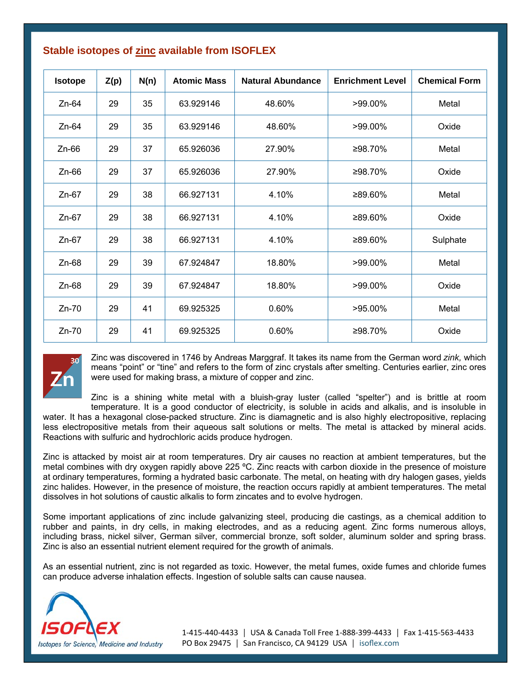| <b>Isotope</b> | Z(p) | N(n) | <b>Atomic Mass</b> | <b>Natural Abundance</b> | <b>Enrichment Level</b> | <b>Chemical Form</b> |
|----------------|------|------|--------------------|--------------------------|-------------------------|----------------------|
| $Zn-64$        | 29   | 35   | 63.929146          | 48.60%                   | >99.00%                 | Metal                |
| $Zn-64$        | 29   | 35   | 63.929146          | 48.60%                   | $>99.00\%$              | Oxide                |
| $Zn-66$        | 29   | 37   | 65.926036          | 27.90%                   | ≥98.70%                 | Metal                |
| $Zn-66$        | 29   | 37   | 65.926036          | 27.90%                   | ≥98.70%                 | Oxide                |
| $Zn-67$        | 29   | 38   | 66.927131          | 4.10%                    | ≥89.60%                 | Metal                |
| $Zn-67$        | 29   | 38   | 66.927131          | 4.10%                    | ≥89.60%                 | Oxide                |
| $Zn-67$        | 29   | 38   | 66.927131          | 4.10%                    | ≥89.60%                 | Sulphate             |
| $Zn-68$        | 29   | 39   | 67.924847          | 18.80%                   | $>99.00\%$              | Metal                |
| $Zn-68$        | 29   | 39   | 67.924847          | 18.80%                   | $>99.00\%$              | Oxide                |
| $Zn-70$        | 29   | 41   | 69.925325          | 0.60%                    | >95.00%                 | Metal                |
| $Zn-70$        | 29   | 41   | 69.925325          | 0.60%                    | ≥98.70%                 | Oxide                |

## **Stable isotopes of zinc available from ISOFLEX**



Zinc was discovered in 1746 by Andreas Marggraf. It takes its name from the German word *zink,* which means "point" or "tine" and refers to the form of zinc crystals after smelting. Centuries earlier, zinc ores were used for making brass, a mixture of copper and zinc.

Zinc is a shining white metal with a bluish-gray luster (called "spelter") and is brittle at room temperature. It is a good conductor of electricity, is soluble in acids and alkalis, and is insoluble in

water. It has a hexagonal close-packed structure. Zinc is diamagnetic and is also highly electropositive, replacing less electropositive metals from their aqueous salt solutions or melts. The metal is attacked by mineral acids. Reactions with sulfuric and hydrochloric acids produce hydrogen.

Zinc is attacked by moist air at room temperatures. Dry air causes no reaction at ambient temperatures, but the metal combines with dry oxygen rapidly above 225 ºC. Zinc reacts with carbon dioxide in the presence of moisture at ordinary temperatures, forming a hydrated basic carbonate. The metal, on heating with dry halogen gases, yields zinc halides. However, in the presence of moisture, the reaction occurs rapidly at ambient temperatures. The metal dissolves in hot solutions of caustic alkalis to form zincates and to evolve hydrogen.

Some important applications of zinc include galvanizing steel, producing die castings, as a chemical addition to rubber and paints, in dry cells, in making electrodes, and as a reducing agent. Zinc forms numerous alloys, including brass, nickel silver, German silver, commercial bronze, soft solder, aluminum solder and spring brass. Zinc is also an essential nutrient element required for the growth of animals.

As an essential nutrient, zinc is not regarded as toxic. However, the metal fumes, oxide fumes and chloride fumes can produce adverse inhalation effects. Ingestion of soluble salts can cause nausea.